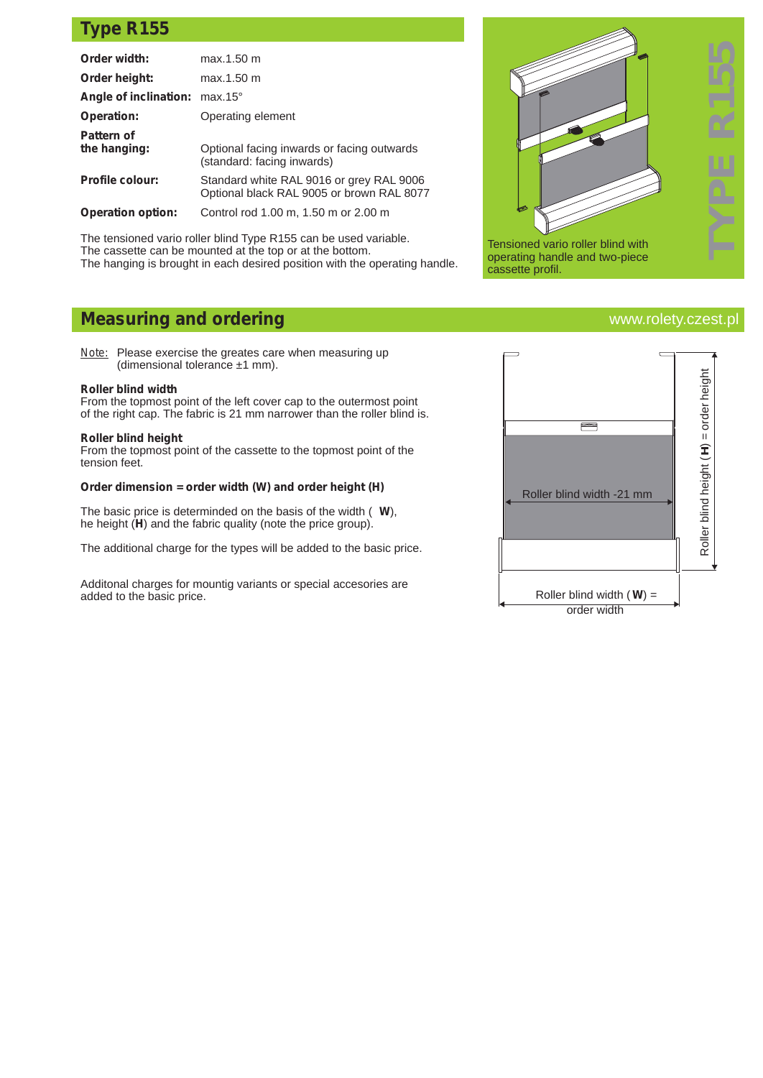## **Type R155**

| Order width:                  | max.1.50 m                                                                            |
|-------------------------------|---------------------------------------------------------------------------------------|
| Order height:                 | max.1.50 m                                                                            |
| Angle of inclination: max.15° |                                                                                       |
| <b>Operation:</b>             | Operating element                                                                     |
| Pattern of<br>the hanging:    | Optional facing inwards or facing outwards<br>(standard: facing inwards)              |
| <b>Profile colour:</b>        | Standard white RAL 9016 or grey RAL 9006<br>Optional black RAL 9005 or brown RAL 8077 |
| <b>Operation option:</b>      | Control rod 1.00 m, 1.50 m or 2.00 m                                                  |

The tensioned vario roller blind Type R155 can be used variable. The cassette can be mounted at the top or at the bottom. The hanging is brought in each desired position with the operating handle.

# **Measuring and ordering**

*Note:* Please exercise the greates care when measuring up (dimensional tolerance ±1 mm).

### **Roller blind width**

From the topmost point of the left cover cap to the outermost point of the right cap. The fabric is 21 mm narrower than the roller blind is.

### **Roller blind height**

From the topmost point of the cassette to the topmost point of the tension feet.

### **Order dimension = order width (W) and order height (H)**

The basic price is determinded on the basis of the width ( **W**), he height (**H**) and the fabric quality (note the price group).

The additional charge for the types will be added to the basic price.

Additonal charges for mountig variants or special accesories are added to the basic price.



## www.rolety.czest.pl

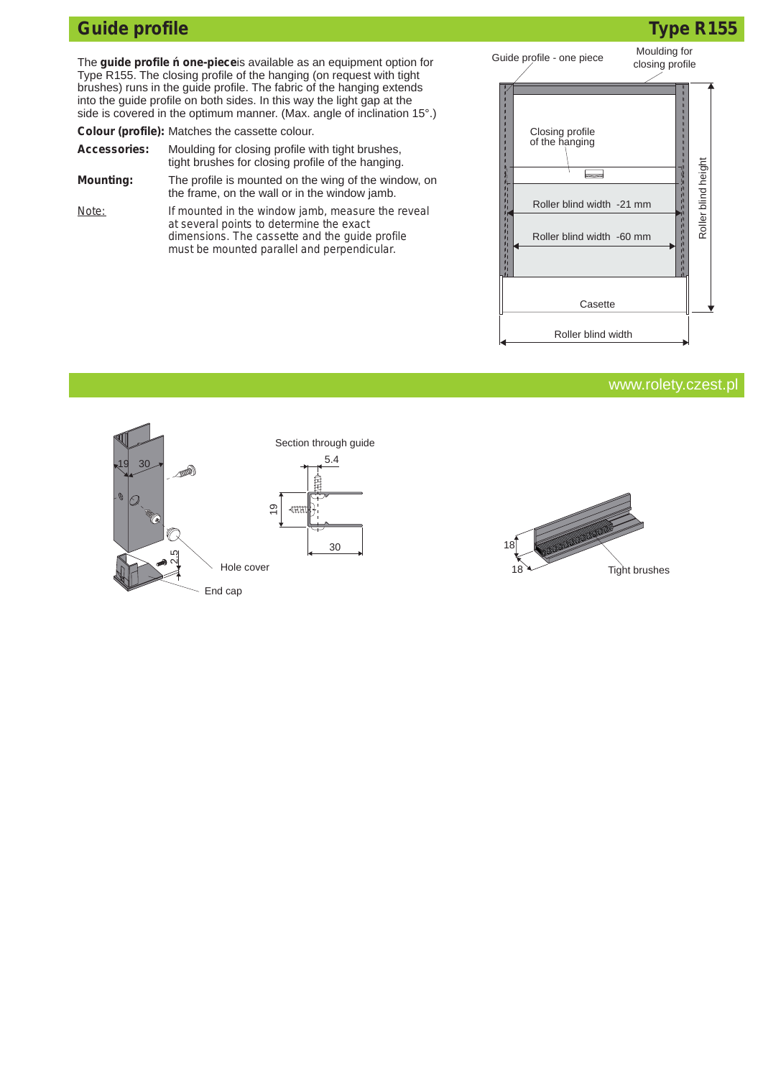# **Guide profile Type R155**

The **guide profile one-piece**is available as an equipment option for Type R155. The closing profile of the hanging (on request with tight brushes) runs in the guide profile. The fabric of the hanging extends into the guide profile on both sides. In this way the light gap at the side is covered in the optimum manner. (Max. angle of inclination 15°.)

**Colour (profile):** Matches the cassette colour.

| <b>Accessories:</b> | Moulding for closing profile with tight brushes,     |
|---------------------|------------------------------------------------------|
|                     | tight brushes for closing profile of the hanging.    |
| <b>Mounting:</b>    | The profile is mounted on the wing of the window, on |

the frame, on the wall or in the window jamb. *Note: If mounted in the window jamb, measure the reveal at several points to determine the exact dimensions. The cassette and the guide profile must be mounted parallel and perpendicular.*



## www.rolety.czest.pl



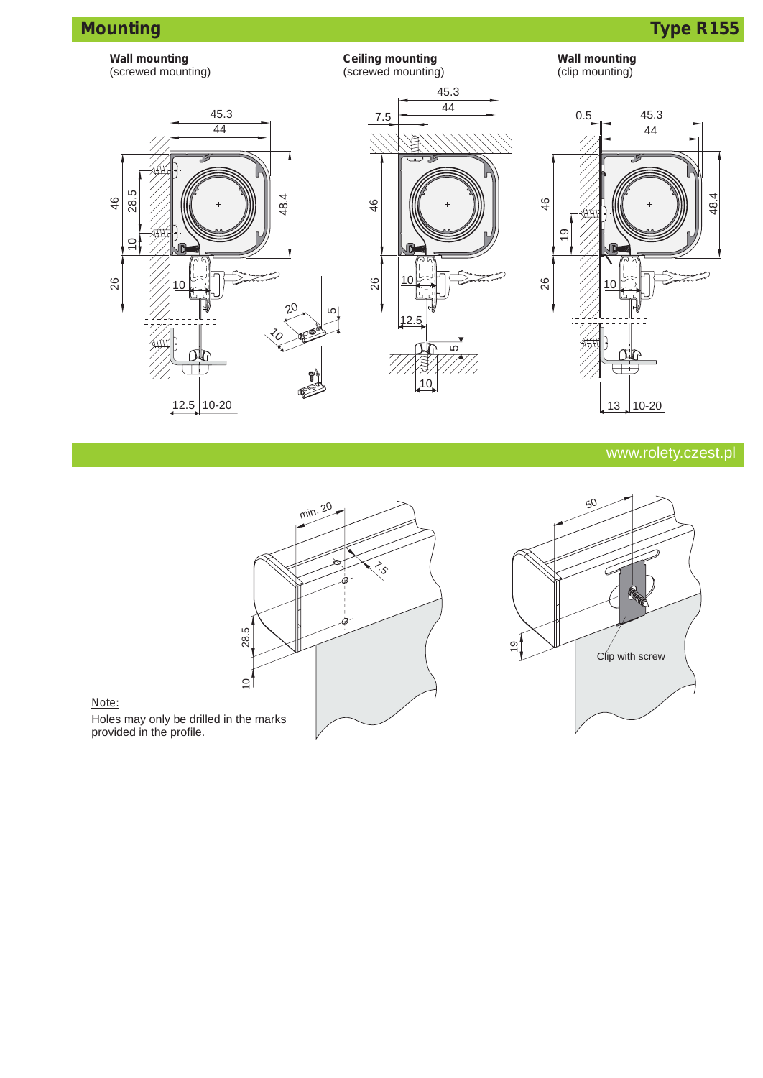



## www.rolety.czest.pl





## *Note:* Holes may only be drilled in the marks provided in the profile.